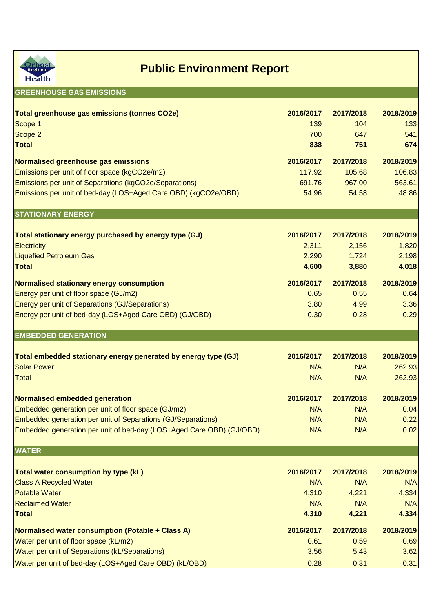

## **Public Environment Report**

## **GREENHOUSE GAS EMISSIONS**

| Total greenhouse gas emissions (tonnes CO2e)<br>Scope 1<br>Scope 2                                                  | 2016/2017<br>139<br>700 | 2017/2018<br>104<br>647 | 2018/2019<br>133<br>541 |
|---------------------------------------------------------------------------------------------------------------------|-------------------------|-------------------------|-------------------------|
| <b>Total</b>                                                                                                        | 838                     | 751                     | 674                     |
| Normalised greenhouse gas emissions                                                                                 | 2016/2017               | 2017/2018               | 2018/2019               |
| Emissions per unit of floor space (kgCO2e/m2)                                                                       | 117.92                  | 105.68                  | 106.83                  |
| Emissions per unit of Separations (kgCO2e/Separations)                                                              | 691.76                  | 967.00                  | 563.61                  |
| Emissions per unit of bed-day (LOS+Aged Care OBD) (kgCO2e/OBD)                                                      | 54.96                   | 54.58                   | 48.86                   |
| <b>STATIONARY ENERGY</b>                                                                                            |                         |                         |                         |
| Total stationary energy purchased by energy type (GJ)                                                               | 2016/2017               | 2017/2018               | 2018/2019               |
| <b>Electricity</b>                                                                                                  | 2,311                   | 2,156                   | 1,820                   |
| <b>Liquefied Petroleum Gas</b>                                                                                      | 2,290                   | 1,724                   | 2,198                   |
| <b>Total</b>                                                                                                        | 4,600                   | 3,880                   | 4,018                   |
| Normalised stationary energy consumption                                                                            | 2016/2017               | 2017/2018               | 2018/2019               |
| Energy per unit of floor space (GJ/m2)                                                                              | 0.65                    | 0.55                    | 0.64                    |
| <b>Energy per unit of Separations (GJ/Separations)</b>                                                              | 3.80                    | 4.99                    | 3.36                    |
| Energy per unit of bed-day (LOS+Aged Care OBD) (GJ/OBD)                                                             | 0.30                    | 0.28                    | 0.29                    |
| <b>EMBEDDED GENERATION</b>                                                                                          |                         |                         |                         |
|                                                                                                                     |                         |                         |                         |
|                                                                                                                     |                         |                         |                         |
| Total embedded stationary energy generated by energy type (GJ)                                                      | 2016/2017               | 2017/2018               | 2018/2019               |
| <b>Solar Power</b>                                                                                                  | N/A                     | N/A                     | 262.93                  |
| <b>Total</b>                                                                                                        | N/A                     | N/A                     | 262.93                  |
|                                                                                                                     |                         |                         |                         |
| Normalised embedded generation                                                                                      | 2016/2017<br>N/A        | 2017/2018<br>N/A        | 2018/2019<br>0.04       |
| Embedded generation per unit of floor space (GJ/m2)<br>Embedded generation per unit of Separations (GJ/Separations) | N/A                     | N/A                     | 0.22                    |
| Embedded generation per unit of bed-day (LOS+Aged Care OBD) (GJ/OBD)                                                | N/A                     | N/A                     | 0.02                    |
| <b>WATER</b>                                                                                                        |                         |                         |                         |
|                                                                                                                     |                         |                         |                         |
| Total water consumption by type (kL)                                                                                | 2016/2017               | 2017/2018               | 2018/2019               |
| <b>Class A Recycled Water</b>                                                                                       | N/A                     | N/A                     | N/A                     |
| <b>Potable Water</b>                                                                                                | 4,310                   | 4,221                   | 4,334                   |
| <b>Reclaimed Water</b><br><b>Total</b>                                                                              | N/A<br>4,310            | N/A<br>4,221            | N/A<br>4,334            |
|                                                                                                                     |                         |                         |                         |
| Normalised water consumption (Potable + Class A)                                                                    | 2016/2017               | 2017/2018               | 2018/2019               |
| Water per unit of floor space (kL/m2)<br>Water per unit of Separations (kL/Separations)                             | 0.61<br>3.56            | 0.59<br>5.43            | 0.69<br>3.62            |